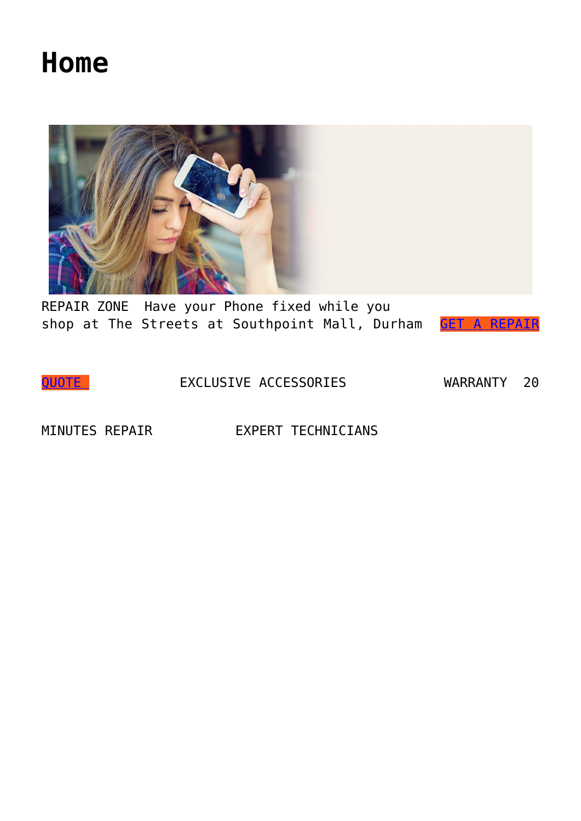## **[Home](https://repairzoneusa.com/)**



REPAIR ZONE Have your Phone fixed while you shop at The Streets at Southpoint Mall, Durham [GET A REPAIR](https://repairzoneusa.com/free-repair-estimate/)

[QUOTE](https://repairzoneusa.com/free-repair-estimate/) EXCLUSIVE ACCESSORIES WARRANTY 20

MINUTES REPAIR EXPERT TECHNICIANS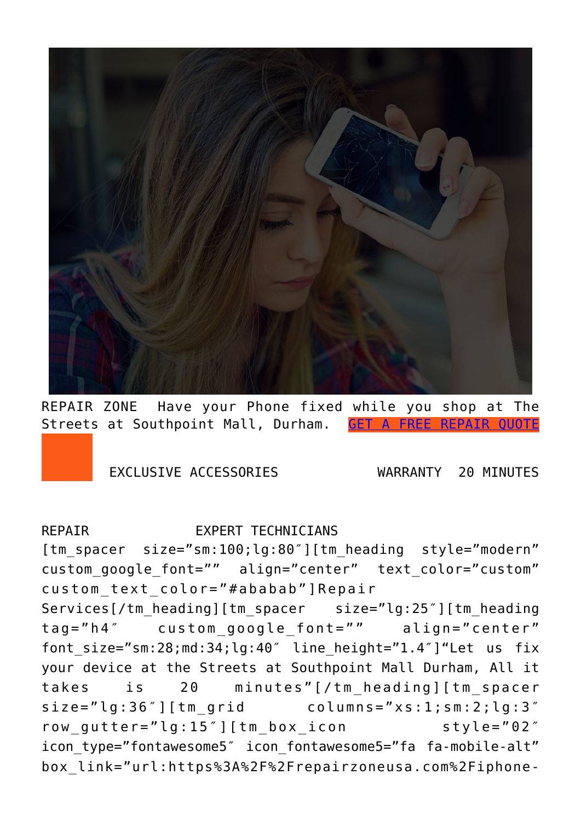

REPAIR ZONE Have your Phone fixed while you shop at The Streets at Southpoint Mall, Durham. [GET A FREE REPAIR QUOTE](https://repairzoneusa.com/free-repair-estimate/)

EXCLUSIVE ACCESSORIES WARRANTY 20 MINUTES

## REPATR **EXPERT TECHNICIANS**

[tm spacer size="sm:100;lg:80"][tm heading style="modern" custom\_google\_font="" align="center" text\_color="custom" custom text color="#ababab"]Repair

Services[/tm\_heading][tm\_spacer size="lg:25″][tm\_heading tag="h4″ custom\_google\_font="" align="center" font\_size="sm:28;md:34;lg:40″ line\_height="1.4″]"Let us fix your device at the Streets at Southpoint Mall Durham, All it takes is 20 minutes"[/tm\_heading][tm\_spacer size="lg:36"][tm\_grid columns="xs:1;sm:2;lg:3" row\_gutter="lg:15″][tm\_box\_icon style="02″ icon\_type="fontawesome5″ icon\_fontawesome5="fa fa-mobile-alt" box\_link="url:https%3A%2F%2Frepairzoneusa.com%2Fiphone-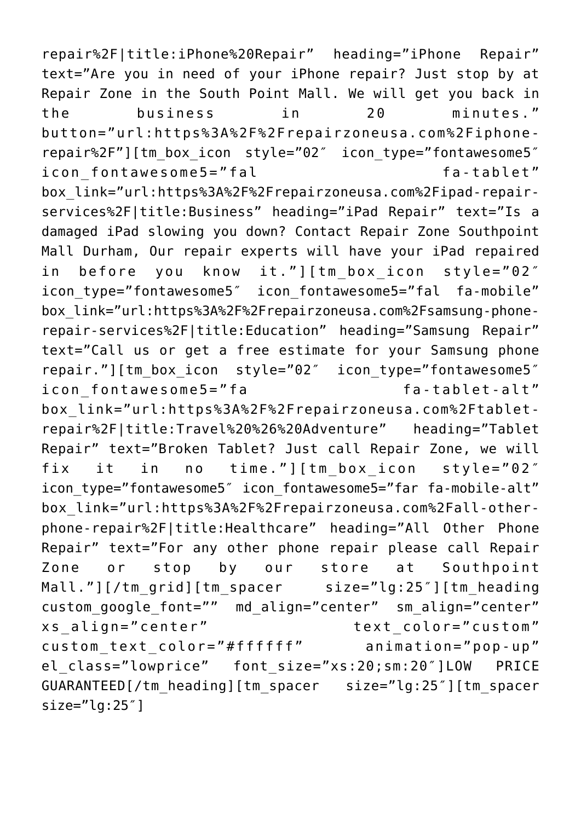repair%2F|title:iPhone%20Repair" heading="iPhone Repair" text="Are you in need of your iPhone repair? Just stop by at Repair Zone in the South Point Mall. We will get you back in the business in 20 minutes." button="url:https%3A%2F%2Frepairzoneusa.com%2Fiphonerepair%2F"][tm\_box\_icon style="02″ icon\_type="fontawesome5″ icon fontawesome5="fal fa-tablet" box\_link="url:https%3A%2F%2Frepairzoneusa.com%2Fipad-repairservices%2F|title:Business" heading="iPad Repair" text="Is a damaged iPad slowing you down? Contact Repair Zone Southpoint Mall Durham, Our repair experts will have your iPad repaired in before you know it."][tm\_box\_icon style="02″ icon type="fontawesome5" icon fontawesome5="fal fa-mobile" box\_link="url:https%3A%2F%2Frepairzoneusa.com%2Fsamsung-phonerepair-services%2F|title:Education" heading="Samsung Repair" text="Call us or get a free estimate for your Samsung phone repair."][tm\_box\_icon style="02″ icon\_type="fontawesome5″ icon fontawesome5="fa fa-tablet-alt" box\_link="url:https%3A%2F%2Frepairzoneusa.com%2Ftabletrepair%2F|title:Travel%20%26%20Adventure" heading="Tablet Repair" text="Broken Tablet? Just call Repair Zone, we will fix it in no time."][tm\_box\_icon style="02″ icon type="fontawesome5" icon fontawesome5="far fa-mobile-alt" box\_link="url:https%3A%2F%2Frepairzoneusa.com%2Fall-otherphone-repair%2F|title:Healthcare" heading="All Other Phone Repair" text="For any other phone repair please call Repair Zone or stop by our store at Southpoint Mall."][/tm\_grid][tm\_spacer size="lg:25″][tm\_heading custom\_google\_font="" md\_align="center" sm\_align="center" xs\_align="center" text\_color="custom" custom\_text\_color="#ffffff" animation="pop-up" el class="lowprice" font size="xs:20;sm:20"]LOW PRICE GUARANTEED[/tm\_heading][tm\_spacer size="lg:25″][tm\_spacer size="lg:25″]